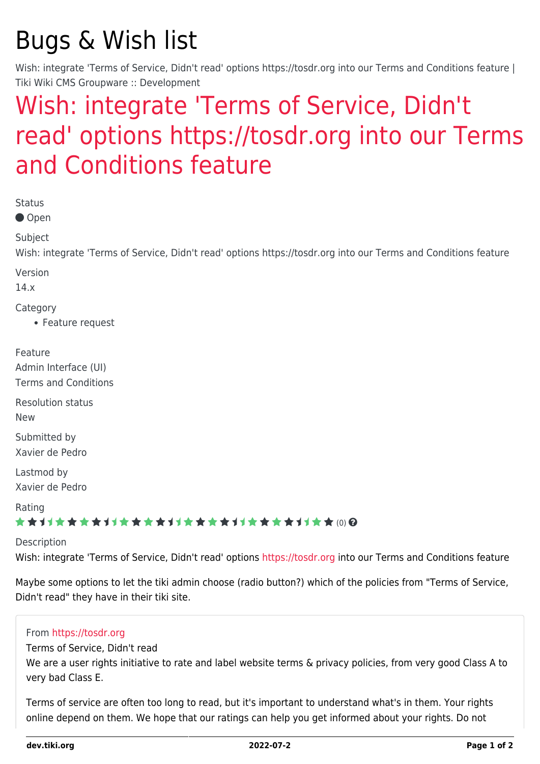# Bugs & Wish list

Wish: integrate 'Terms of Service, Didn't read' options https://tosdr.org into our Terms and Conditions feature | Tiki Wiki CMS Groupware :: Development

## [Wish: integrate 'Terms of Service, Didn't](https://dev.tiki.org/item5482-Wish-integrate-Terms-of-Service-Didn-t-read-options-https-tosdr-org-into-our-Terms-and-Conditions-feature) [read' options https://tosdr.org into our Terms](https://dev.tiki.org/item5482-Wish-integrate-Terms-of-Service-Didn-t-read-options-https-tosdr-org-into-our-Terms-and-Conditions-feature) [and Conditions feature](https://dev.tiki.org/item5482-Wish-integrate-Terms-of-Service-Didn-t-read-options-https-tosdr-org-into-our-Terms-and-Conditions-feature)

Status

● Open

Subject

Wish: integrate 'Terms of Service, Didn't read' options https://tosdr.org into our Terms and Conditions feature

Version

14.x

Category

• Feature request

Feature Admin Interface (UI) Terms and Conditions

Resolution status New

Submitted by Xavier de Pedro

Lastmod by Xavier de Pedro

Rating

#### ★★11★★★★11★★★★11★★★★11★★★★+11★★ @@

Description

Wish: integrate 'Terms of Service, Didn't read' options<https://tosdr.org>into our Terms and Conditions feature

Maybe some options to let the tiki admin choose (radio button?) which of the policies from "Terms of Service, Didn't read" they have in their tiki site.

#### From<https://tosdr.org>

Terms of Service, Didn't read

We are a user rights initiative to rate and label website terms & privacy policies, from very good Class A to very bad Class E.

Terms of service are often too long to read, but it's important to understand what's in them. Your rights online depend on them. We hope that our ratings can help you get informed about your rights. Do not